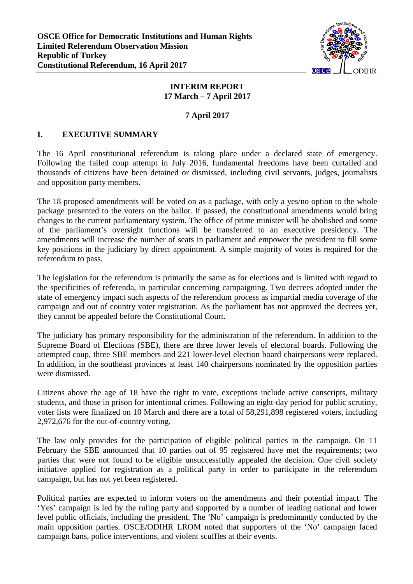

#### **INTERIM REPORT 17 March – 7 April 2017**

#### **7 April 2017**

### **I. EXECUTIVE SUMMARY**

The 16 April constitutional referendum is taking place under a declared state of emergency. Following the failed coup attempt in July 2016, fundamental freedoms have been curtailed and thousands of citizens have been detained or dismissed, including civil servants, judges, journalists and opposition party members.

The 18 proposed amendments will be voted on as a package, with only a yes/no option to the whole package presented to the voters on the ballot. If passed, the constitutional amendments would bring changes to the current parliamentary system. The office of prime minister will be abolished and some of the parliament's oversight functions will be transferred to an executive presidency. The amendments will increase the number of seats in parliament and empower the president to fill some key positions in the judiciary by direct appointment. A simple majority of votes is required for the referendum to pass.

The legislation for the referendum is primarily the same as for elections and is limited with regard to the specificities of referenda, in particular concerning campaigning. Two decrees adopted under the state of emergency impact such aspects of the referendum process as impartial media coverage of the campaign and out of country voter registration. As the parliament has not approved the decrees yet, they cannot be appealed before the Constitutional Court.

The judiciary has primary responsibility for the administration of the referendum. In addition to the Supreme Board of Elections (SBE), there are three lower levels of electoral boards. Following the attempted coup, three SBE members and 221 lower-level election board chairpersons were replaced. In addition, in the southeast provinces at least 140 chairpersons nominated by the opposition parties were dismissed.

Citizens above the age of 18 have the right to vote, exceptions include active conscripts, military students, and those in prison for intentional crimes. Following an eight-day period for public scrutiny, voter lists were finalized on 10 March and there are a total of 58,291,898 registered voters, including 2,972,676 for the out-of-country voting.

The law only provides for the participation of eligible political parties in the campaign. On 11 February the SBE announced that 10 parties out of 95 registered have met the requirements; two parties that were not found to be eligible unsuccessfully appealed the decision. One civil society initiative applied for registration as a political party in order to participate in the referendum campaign, but has not yet been registered.

Political parties are expected to inform voters on the amendments and their potential impact. The 'Yes' campaign is led by the ruling party and supported by a number of leading national and lower level public officials, including the president. The 'No' campaign is predominantly conducted by the main opposition parties. OSCE/ODIHR LROM noted that supporters of the 'No' campaign faced campaign bans, police interventions, and violent scuffles at their events.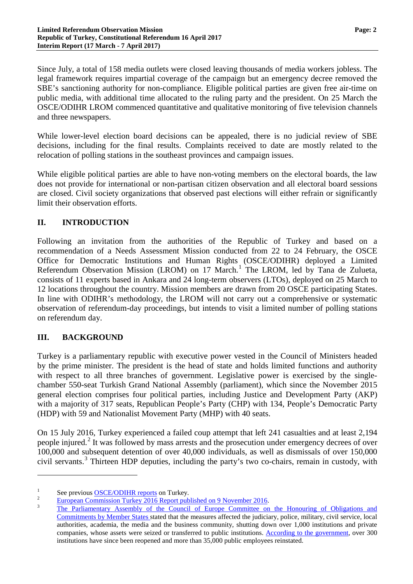Since July, a total of 158 media outlets were closed leaving thousands of media workers jobless. The legal framework requires impartial coverage of the campaign but an emergency decree removed the SBE's sanctioning authority for non-compliance. Eligible political parties are given free air-time on public media, with additional time allocated to the ruling party and the president. On 25 March the OSCE/ODIHR LROM commenced quantitative and qualitative monitoring of five television channels and three newspapers.

While lower-level election board decisions can be appealed, there is no judicial review of SBE decisions, including for the final results. Complaints received to date are mostly related to the relocation of polling stations in the southeast provinces and campaign issues.

While eligible political parties are able to have non-voting members on the electoral boards, the law does not provide for international or non-partisan citizen observation and all electoral board sessions are closed. Civil society organizations that observed past elections will either refrain or significantly limit their observation efforts.

## **II. INTRODUCTION**

Following an invitation from the authorities of the Republic of Turkey and based on a recommendation of a Needs Assessment Mission conducted from 22 to 24 February, the OSCE Office for Democratic Institutions and Human Rights (OSCE/ODIHR) deployed a Limited Referendum Observation Mission (LROM) on [1](#page-1-0)7 March.<sup>1</sup> The LROM, led by Tana de Zulueta, consists of 11 experts based in Ankara and 24 long-term observers (LTOs), deployed on 25 March to 12 locations throughout the country. Mission members are drawn from 20 OSCE participating States. In line with ODIHR's methodology, the LROM will not carry out a comprehensive or systematic observation of referendum-day proceedings, but intends to visit a limited number of polling stations on referendum day.

## **III. BACKGROUND**

 $\overline{a}$ 

Turkey is a parliamentary republic with executive power vested in the Council of Ministers headed by the prime minister. The president is the head of state and holds limited functions and authority with respect to all three branches of government. Legislative power is exercised by the singlechamber 550-seat Turkish Grand National Assembly (parliament), which since the November 2015 general election comprises four political parties, including Justice and Development Party (AKP) with a majority of 317 seats, Republican People's Party (CHP) with 134, People's Democratic Party (HDP) with 59 and Nationalist Movement Party (MHP) with 40 seats.

On 15 July 2016, Turkey experienced a failed coup attempt that left 241 casualties and at least 2,194 people injured.<sup>[2](#page-1-1)</sup> It was followed by mass arrests and the prosecution under emergency decrees of over 100,000 and subsequent detention of over 40,000 individuals, as well as dismissals of over 150,000 civil servants. [3](#page-1-2) Thirteen HDP deputies, including the party's two co-chairs, remain in custody, with

<span id="page-1-0"></span>

<span id="page-1-2"></span><span id="page-1-1"></span>

<sup>&</sup>lt;sup>1</sup><br><sup>2</sup> [European Commission Turkey 2016 Report published on 9 November 2016.](https://ec.europa.eu/neighbourhood-enlargement/sites/near/files/pdf/key_documents/2016/20161109_report_turkey.pdf)<br><sup>2</sup> The Parliamentary Assembly of the Council of Europe Committee on the Honouring of Obligations and [Commitments by Member States](http://website-pace.net/documents/19887/3136217/20170126-StmtConstReform-EN.pdf/c4c15b85-9e13-46b2-a687-f25f07077183) stated that the measures affected the judiciary, police, military, civil service, local authorities, academia, the media and the business community, shutting down over 1,000 institutions and private companies, whose assets were seized or transferred to public institutions. [According to the government,](https://wcd.coe.int/com.instranet.InstraServlet?command=com.instranet.CmdBlobGet&InstranetImage=2961655&SecMode=1&DocId=2397286&Usage=2) over 300 institutions have since been reopened and more than 35,000 public employees reinstated.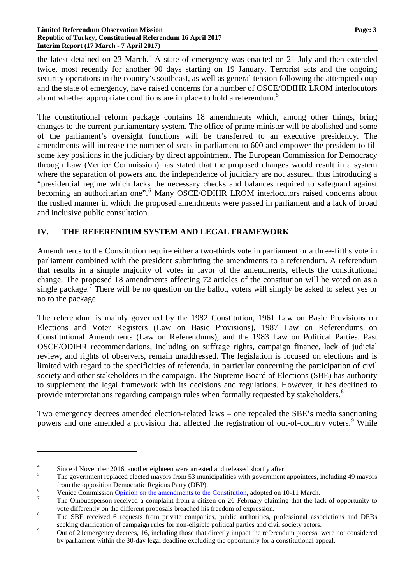the latest detained on 23 March.<sup>[4](#page-2-0)</sup> A state of emergency was enacted on 21 July and then extended twice, most recently for another 90 days starting on 19 January. Terrorist acts and the ongoing security operations in the country's southeast, as well as general tension following the attempted coup and the state of emergency, have raised concerns for a number of OSCE/ODIHR LROM interlocutors about whether appropriate conditions are in place to hold a referendum.<sup>[5](#page-2-1)</sup>

The constitutional reform package contains 18 amendments which, among other things, bring changes to the current parliamentary system. The office of prime minister will be abolished and some of the parliament's oversight functions will be transferred to an executive presidency. The amendments will increase the number of seats in parliament to 600 and empower the president to fill some key positions in the judiciary by direct appointment. The European Commission for Democracy through Law (Venice Commission) has stated that the proposed changes would result in a system where the separation of powers and the independence of judiciary are not assured, thus introducing a "presidential regime which lacks the necessary checks and balances required to safeguard against becoming an authoritarian one".<sup>[6](#page-2-2)</sup> Many OSCE/ODIHR LROM interlocutors raised concerns about the rushed manner in which the proposed amendments were passed in parliament and a lack of broad and inclusive public consultation.

## **IV. THE REFERENDUM SYSTEM AND LEGAL FRAMEWORK**

Amendments to the Constitution require either a two-thirds vote in parliament or a three-fifths vote in parliament combined with the president submitting the amendments to a referendum. A referendum that results in a simple majority of votes in favor of the amendments, effects the constitutional change. The proposed 18 amendments affecting 72 articles of the constitution will be voted on as a single package.<sup>[7](#page-2-3)</sup> There will be no question on the ballot, voters will simply be asked to select yes or no to the package.

The referendum is mainly governed by the 1982 Constitution, 1961 Law on Basic Provisions on Elections and Voter Registers (Law on Basic Provisions), 1987 Law on Referendums on Constitutional Amendments (Law on Referendums), and the 1983 Law on Political Parties. Past OSCE/ODIHR recommendations, including on suffrage rights, campaign finance, lack of judicial review, and rights of observers, remain unaddressed. The legislation is focused on elections and is limited with regard to the specificities of referenda, in particular concerning the participation of civil society and other stakeholders in the campaign. The Supreme Board of Elections (SBE) has authority to supplement the legal framework with its decisions and regulations. However, it has declined to provide interpretations regarding campaign rules when formally requested by stakeholders.<sup>[8](#page-2-4)</sup>

Two emergency decrees amended election-related laws – one repealed the SBE's media sanctioning powers and one amended a provision that affected the registration of out-of-country voters.<sup>[9](#page-2-5)</sup> While

 $\overline{a}$ 

<span id="page-2-1"></span><span id="page-2-0"></span>

 $\frac{4}{5}$  Since 4 November 2016, another eighteen were arrested and released shortly after.<br>The government replaced elected mayors from 53 municipalities with government appointees, including 49 mayors

<span id="page-2-2"></span>

from the opposition Democratic Regions Party (DBP).<br> [Venice Commission Opinion on the amendments to the Constitution,](http://www.venice.coe.int/webforms/documents/default.aspx?pdffile=CDL-AD(2017)005-e) adopted on 10-11 March.<br>
The Ombudsperson received a complaint from a citizen on 26 February claiming th

<span id="page-2-3"></span>vote differently on the different proposals breached his freedom of expression.<br><sup>8</sup> The SBE received 6 requests from private companies, public authorities, professional associations and DEBs

<span id="page-2-5"></span><span id="page-2-4"></span>seeking clarification of campaign rules for non-eligible political parties and civil society actors.<br>Out of 21emergency decrees, 16, including those that directly impact the referendum process, were not considered by parliament within the 30-day legal deadline excluding the opportunity for a constitutional appeal.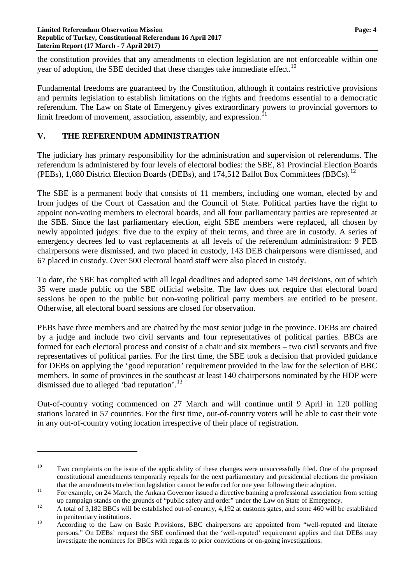the constitution provides that any amendments to election legislation are not enforceable within one year of adoption, the SBE decided that these changes take immediate effect.<sup>[10](#page-3-0)</sup>

Fundamental freedoms are guaranteed by the Constitution, although it contains restrictive provisions and permits legislation to establish limitations on the rights and freedoms essential to a democratic referendum. The Law on State of Emergency gives extraordinary powers to provincial governors to limit freedom of movement, association, assembly, and expression.

## **V. THE REFERENDUM ADMINISTRATION**

 $\overline{a}$ 

The judiciary has primary responsibility for the administration and supervision of referendums. The referendum is administered by four levels of electoral bodies: the SBE, 81 Provincial Election Boards (PEBs), 1,080 District Election Boards (DEBs), and 174,5[12](#page-3-2) Ballot Box Committees (BBCs).<sup>12</sup>

The SBE is a permanent body that consists of 11 members, including one woman, elected by and from judges of the Court of Cassation and the Council of State. Political parties have the right to appoint non-voting members to electoral boards, and all four parliamentary parties are represented at the SBE. Since the last parliamentary election, eight SBE members were replaced, all chosen by newly appointed judges: five due to the expiry of their terms, and three are in custody. A series of emergency decrees led to vast replacements at all levels of the referendum administration: 9 PEB chairpersons were dismissed, and two placed in custody, 143 DEB chairpersons were dismissed, and 67 placed in custody. Over 500 electoral board staff were also placed in custody.

To date, the SBE has complied with all legal deadlines and adopted some 149 decisions, out of which 35 were made public on the SBE official website. The law does not require that electoral board sessions be open to the public but non-voting political party members are entitled to be present. Otherwise, all electoral board sessions are closed for observation.

PEBs have three members and are chaired by the most senior judge in the province. DEBs are chaired by a judge and include two civil servants and four representatives of political parties. BBCs are formed for each electoral process and consist of a chair and six members – two civil servants and five representatives of political parties. For the first time, the SBE took a decision that provided guidance for DEBs on applying the 'good reputation' requirement provided in the law for the selection of BBC members. In some of provinces in the southeast at least 140 chairpersons nominated by the HDP were dismissed due to alleged 'bad reputation'.<sup>[13](#page-3-3)</sup>

Out-of-country voting commenced on 27 March and will continue until 9 April in 120 polling stations located in 57 countries. For the first time, out-of-country voters will be able to cast their vote in any out-of-country voting location irrespective of their place of registration.

<span id="page-3-0"></span><sup>&</sup>lt;sup>10</sup> Two complaints on the issue of the applicability of these changes were unsuccessfully filed. One of the proposed constitutional amendments temporarily repeals for the next parliamentary and presidential elections the provision

<span id="page-3-1"></span>that the amendments to election legislation cannot be enforced for one year following their adoption.<br><sup>11</sup> For example, on 24 March, the Ankara Governor issued a directive banning a professional association from setting

<span id="page-3-2"></span>up campaign stands on the grounds of "public safety and order" under the Law on State of Emergency.<br>A total of 3,182 BBCs will be established out-of-country, 4,192 at customs gates, and some 460 will be established

<span id="page-3-3"></span>in penitentiary institutions.<br><sup>13</sup> According to the Law on Basic Provisions, BBC chairpersons are appointed from "well-reputed and literate persons." On DEBs' request the SBE confirmed that the 'well-reputed' requirement applies and that DEBs may investigate the nominees for BBCs with regards to prior convictions or on-going investigations.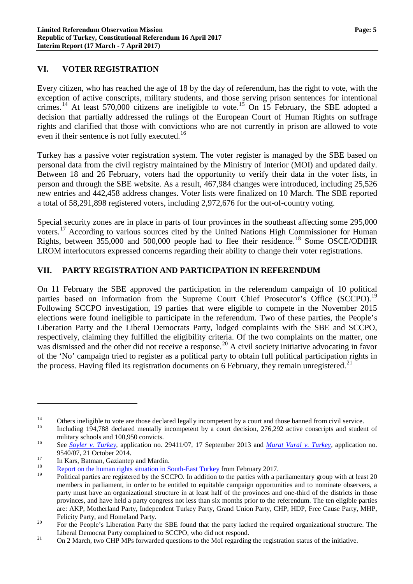## **VI. VOTER REGISTRATION**

Every citizen, who has reached the age of 18 by the day of referendum, has the right to vote, with the exception of active conscripts, military students, and those serving prison sentences for intentional crimes.<sup>[14](#page-4-0)</sup> At least 570,000 citizens are ineligible to vote.<sup>[15](#page-4-1)</sup> On 15 February, the SBE adopted a decision that partially addressed the rulings of the European Court of Human Rights on suffrage rights and clarified that those with convictions who are not currently in prison are allowed to vote even if their sentence is not fully executed.<sup>[16](#page-4-2)</sup>

Turkey has a passive voter registration system. The voter register is managed by the SBE based on personal data from the civil registry maintained by the Ministry of Interior (MOI) and updated daily. Between 18 and 26 February, voters had the opportunity to verify their data in the voter lists, in person and through the SBE website. As a result, 467,984 changes were introduced, including 25,526 new entries and 442,458 address changes. Voter lists were finalized on 10 March. The SBE reported a total of 58,291,898 registered voters, including 2,972,676 for the out-of-country voting.

Special security zones are in place in parts of four provinces in the southeast affecting some 295,000 voters.<sup>[17](#page-4-3)</sup> According to various sources cited by the United Nations High Commissioner for Human Rights, between 355,000 and 500,000 people had to flee their residence.<sup>[18](#page-4-4)</sup> Some OSCE/ODIHR LROM interlocutors expressed concerns regarding their ability to change their voter registrations.

#### **VII. PARTY REGISTRATION AND PARTICIPATION IN REFERENDUM**

On 11 February the SBE approved the participation in the referendum campaign of 10 political parties based on information from the Supreme Court Chief Prosecutor's Office (SCCPO).<sup>[19](#page-4-5)</sup> Following SCCPO investigation, 19 parties that were eligible to compete in the November 2015 elections were found ineligible to participate in the referendum. Two of these parties, the People's Liberation Party and the Liberal Democrats Party, lodged complaints with the SBE and SCCPO, respectively, claiming they fulfilled the eligibility criteria. Of the two complaints on the matter, one was dismissed and the other did not receive a response.<sup>[20](#page-4-6)</sup> A civil society initiative advocating in favor of the 'No' campaign tried to register as a political party to obtain full political participation rights in the process. Having filed its registration documents on 6 February, they remain unregistered.<sup>[21](#page-4-7)</sup>

 $\overline{a}$ 

<span id="page-4-0"></span><sup>&</sup>lt;sup>14</sup> Others ineligible to vote are those declared legally incompetent by a court and those banned from civil service.<br>Including 194,788 declared mentally incompetent by a court decision, 276,292 active conscripts and stud

<span id="page-4-1"></span>military schools and 100,950 convicts.<br><sup>16</sup> See *[Soyler v. Turkey](http://hudoc.echr.coe.int/eng#{"itemid":["001-126350"]})*, application no. 29411/07, 17 September 2013 and *[Murat Vural v. Turkey](http://hudoc.echr.coe.int/eng#{"itemid":["001-147284"]})*, application no.

<span id="page-4-3"></span><span id="page-4-2"></span><sup>9540/07, 21</sup> October 2014.<br>
<sup>17</sup> In Kars, Batman, Gaziantep and Mardin.<br>
<u>[Report on the human rights situation in South-East Turkey](http://www.ohchr.org/Documents/Countries/TR/OHCHR_South-East_TurkeyReport_10March2017.pdf)</u> from February 2017.

<span id="page-4-5"></span><span id="page-4-4"></span><sup>19</sup> Political parties are registered by the SCCPO. In addition to the parties with a parliamentary group with at least 20 members in parliament, in order to be entitled to equitable campaign opportunities and to nominate observers, a party must have an organizational structure in at least half of the provinces and one-third of the districts in those provinces, and have held a party congress not less than six months prior to the referendum. The ten eligible parties are: AKP, Motherland Party, Independent Turkey Party, Grand Union Party, CHP, HDP, Free Cause Party, MHP,

<span id="page-4-6"></span>Felicity Party, and Homeland Party.<br><sup>20</sup> For the People's Liberation Party the SBE found that the party lacked the required organizational structure. The

<span id="page-4-7"></span>Liberal Democrat Party complained to SCCPO, who did not respond.<br><sup>21</sup> On 2 March, two CHP MPs forwarded questions to the MoI regarding the registration status of the initiative.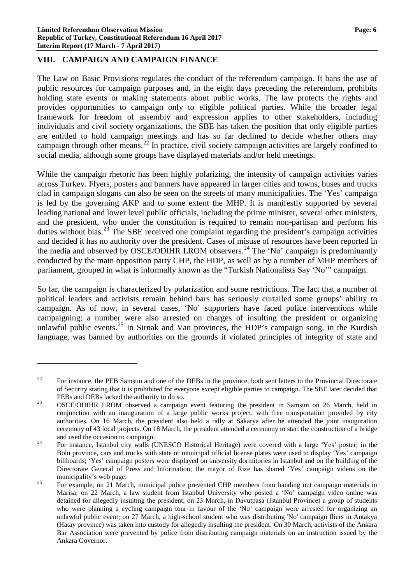#### **VIII. CAMPAIGN AND CAMPAIGN FINANCE**

 $\overline{a}$ 

The Law on Basic Provisions regulates the conduct of the referendum campaign. It bans the use of public resources for campaign purposes and, in the eight days preceding the referendum, prohibits holding state events or making statements about public works. The law protects the rights and provides opportunities to campaign only to eligible political parties. While the broader legal framework for freedom of assembly and expression applies to other stakeholders, including individuals and civil society organizations, the SBE has taken the position that only eligible parties are entitled to hold campaign meetings and has so far declined to decide whether others may campaign through other means.[22](#page-5-0) In practice, civil society campaign activities are largely confined to social media, although some groups have displayed materials and/or held meetings.

While the campaign rhetoric has been highly polarizing, the intensity of campaign activities varies across Turkey. Flyers, posters and banners have appeared in larger cities and towns, buses and trucks clad in campaign slogans can also be seen on the streets of many municipalities. The 'Yes' campaign is led by the governing AKP and to some extent the MHP. It is manifestly supported by several leading national and lower level public officials, including the prime minister, several other ministers, and the president, who under the constitution is required to remain non-partisan and perform his duties without bias.<sup>[23](#page-5-1)</sup> The SBE received one complaint regarding the president's campaign activities and decided it has no authority over the president. Cases of misuse of resources have been reported in the media and observed by OSCE/ODIHR LROM observers.<sup>[24](#page-5-2)</sup> The 'No' campaign is predominantly conducted by the main opposition party CHP, the HDP, as well as by a number of MHP members of parliament, grouped in what is informally known as the "Turkish Nationalists Say 'No'" campaign.

So far, the campaign is characterized by polarization and some restrictions. The fact that a number of political leaders and activists remain behind bars has seriously curtailed some groups' ability to campaign. As of now, in several cases, 'No' supporters have faced police interventions while campaigning; a number were also arrested on charges of insulting the president or organizing unlawful public events.<sup>[25](#page-5-3)</sup> In Sirnak and Van provinces, the HDP's campaign song, in the Kurdish language, was banned by authorities on the grounds it violated principles of integrity of state and

<span id="page-5-0"></span><sup>&</sup>lt;sup>22</sup> For instance, the PEB Samsun and one of the DEBs in the province, both sent letters to the Provincial Directorate of Security stating that it is prohibited for everyone except eligible parties to campaign. The SBE later decided that

<span id="page-5-1"></span>PEBs and DEBs lacked the authority to do so.<br><sup>23</sup> OSCE/ODIHR LROM observed a campaign event featuring the president in Samsun on 26 March, held in conjunction with an inauguration of a large public works project, with free transportation provided by city authorities. On 16 March, the president also held a rally at Sakarya after he attended the joint inauguration ceremony of 43 local projects. On 18 March, the president attended a ceremony to start the construction of a bridge

<span id="page-5-2"></span>and used the occasion to campaign.<br><sup>24</sup> For instance, Istanbul city walls (UNESCO Historical Heritage) were covered with a large 'Yes' poster; in the Bolu province, cars and trucks with state or municipal official license plates were used to display 'Yes' campaign billboards; 'Yes' campaign posters were displayed on university dormitories in Istanbul and on the building of the Directorate General of Press and Information; the mayor of Rize has shared 'Yes' campaign videos on the

<span id="page-5-3"></span>municipality's web page.<br><sup>25</sup> For example, on 21 March, municipal police prevented CHP members from handing out campaign materials in Marisa; on 22 March, a law student from Istanbul University who posted a 'No' campaign video online was detained for allegedly insulting the president; on 23 March, in Davutpaşa (Istanbul Province) a group of students who were planning a cycling campaign tour in favour of the 'No' campaign were arrested for organizing an unlawful public event; on 27 March, a high-school student who was distributing 'No' campaign fliers in Antakya (Hatay province) was taken into custody for allegedly insulting the president. On 30 March, activists of the Ankara Bar Association were prevented by police from distributing campaign materials on an instruction issued by the Ankara Governor.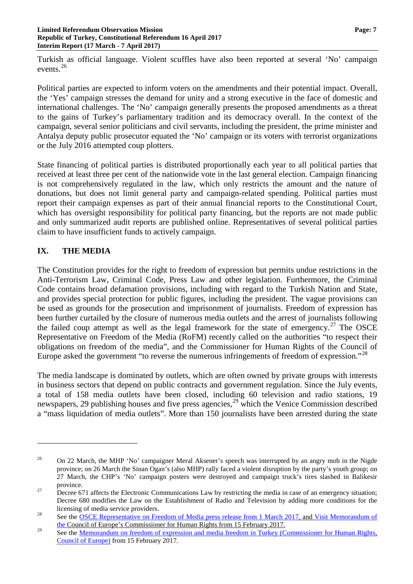Turkish as official language. Violent scuffles have also been reported at several 'No' campaign events.<sup>[26](#page-6-0)</sup>

Political parties are expected to inform voters on the amendments and their potential impact. Overall, the 'Yes' campaign stresses the demand for unity and a strong executive in the face of domestic and international challenges. The 'No' campaign generally presents the proposed amendments as a threat to the gains of Turkey's parliamentary tradition and its democracy overall. In the context of the campaign, several senior politicians and civil servants, including the president, the prime minister and Antalya deputy public prosecutor equated the 'No' campaign or its voters with terrorist organizations or the July 2016 attempted coup plotters.

State financing of political parties is distributed proportionally each year to all political parties that received at least three per cent of the nationwide vote in the last general election. Campaign financing is not comprehensively regulated in the law, which only restricts the amount and the nature of donations, but does not limit general party and campaign-related spending. Political parties must report their campaign expenses as part of their annual financial reports to the Constitutional Court, which has oversight responsibility for political party financing, but the reports are not made public and only summarized audit reports are published online. Representatives of several political parties claim to have insufficient funds to actively campaign.

# **IX. THE MEDIA**

 $\overline{a}$ 

The Constitution provides for the right to freedom of expression but permits undue restrictions in the Anti-Terrorism Law, Criminal Code, Press Law and other legislation. Furthermore, the Criminal Code contains broad defamation provisions, including with regard to the Turkish Nation and State, and provides special protection for public figures, including the president. The vague provisions can be used as grounds for the prosecution and imprisonment of journalists. Freedom of expression has been further curtailed by the closure of numerous media outlets and the arrest of journalists following the failed coup attempt as well as the legal framework for the state of emergency.<sup>[27](#page-6-1)</sup> The OSCE Representative on Freedom of the Media (RoFM) recently called on the authorities "to respect their obligations on freedom of the media", and the Commissioner for Human Rights of the Council of Europe asked the government "to reverse the numerous infringements of freedom of expression."<sup>[28](#page-6-2)</sup>

The media landscape is dominated by outlets, which are often owned by private groups with interests in business sectors that depend on public contracts and government regulation. Since the July events, a total of 158 media outlets have been closed, including 60 television and radio stations, 19 newspapers, [29](#page-6-3) publishing houses and five press agencies,<sup>29</sup> which the Venice Commission described a "mass liquidation of media outlets". More than 150 journalists have been arrested during the state

<span id="page-6-0"></span><sup>&</sup>lt;sup>26</sup> On 22 March, the MHP 'No' campaigner Meral Aksener's speech was interrupted by an angry mob in the Nigde province; on 26 March the Sinan Ogan's (also MHP) rally faced a violent disruption by the party's youth group; on 27 March, the CHP's 'No' campaign posters were destroyed and campaign truck's tires slashed in Balikesir province.<br><sup>27</sup> Decree 671 affects the Electronic Communications Law by restricting the media in case of an emergency situation;

<span id="page-6-1"></span>Decree 680 modifies the Law on the Establishment of Radio and Television by adding more conditions for the

<span id="page-6-2"></span>licensing of media service providers.<br><sup>28</sup> See the [OSCE Representative on Freedom of Media press release from](http://www.osce.org/fom/302351) 1 March 2017, and Visit Memorandum of [the](http://www.coe.int/en/web/commissioner/-/urgent-measures-are-needed-to-restore-freedom-of-expression-in-turkey) Council of Europe's Commissioner for Human Rights from 15 February 2017.

<span id="page-6-3"></span><sup>&</sup>lt;sup>29</sup> See the <u>Memorandum on freedom of expression and media freedom in Turkey (Commissioner for Human Rights,</u> [Council of Europe\)](https://wcd.coe.int/com.instranet.InstraServlet?command=com.instranet.CmdBlobGet&InstranetImage=2961658&SecMode=1&DocId=2397056&Usage=2) from 15 February 2017.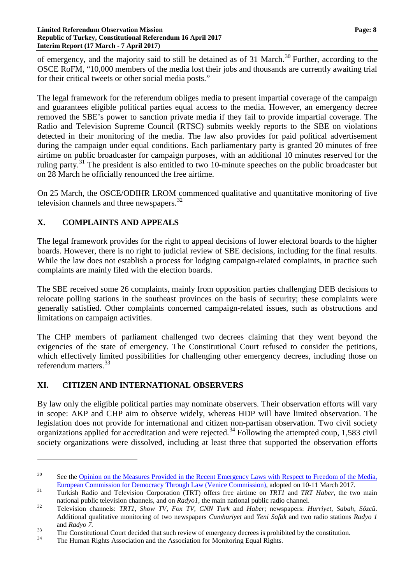of emergency, and the majority said to still be detained as of 31 March.<sup>[30](#page-7-0)</sup> Further, according to the OSCE RoFM, "10,000 members of the media lost their jobs and thousands are currently awaiting trial for their critical tweets or other social media posts."

The legal framework for the referendum obliges media to present impartial coverage of the campaign and guarantees eligible political parties equal access to the media. However, an emergency decree removed the SBE's power to sanction private media if they fail to provide impartial coverage. The Radio and Television Supreme Council (RTSC) submits weekly reports to the SBE on violations detected in their monitoring of the media. The law also provides for paid political advertisement during the campaign under equal conditions. Each parliamentary party is granted 20 minutes of free airtime on public broadcaster for campaign purposes, with an additional 10 minutes reserved for the ruling party.<sup>[31](#page-7-1)</sup> The president is also entitled to two 10-minute speeches on the public broadcaster but on 28 March he officially renounced the free airtime.

On 25 March, the OSCE/ODIHR LROM commenced qualitative and quantitative monitoring of five television channels and three newspapers.<sup>[32](#page-7-2)</sup>

# **X. COMPLAINTS AND APPEALS**

The legal framework provides for the right to appeal decisions of lower electoral boards to the higher boards. However, there is no right to judicial review of SBE decisions, including for the final results. While the law does not establish a process for lodging campaign-related complaints, in practice such complaints are mainly filed with the election boards.

The SBE received some 26 complaints, mainly from opposition parties challenging DEB decisions to relocate polling stations in the southeast provinces on the basis of security; these complaints were generally satisfied. Other complaints concerned campaign-related issues, such as obstructions and limitations on campaign activities.

The CHP members of parliament challenged two decrees claiming that they went beyond the exigencies of the state of emergency. The Constitutional Court refused to consider the petitions, which effectively limited possibilities for challenging other emergency decrees, including those on referendum matters. [33](#page-7-3)

# **XI. CITIZEN AND INTERNATIONAL OBSERVERS**

 $\overline{a}$ 

By law only the eligible political parties may nominate observers. Their observation efforts will vary in scope: AKP and CHP aim to observe widely, whereas HDP will have limited observation. The legislation does not provide for international and citizen non-partisan observation. Two civil society organizations applied for accreditation and were rejected.<sup>[34](#page-7-4)</sup> Following the attempted coup, 1,583 civil society organizations were dissolved, including at least three that supported the observation efforts

<span id="page-7-0"></span><sup>&</sup>lt;sup>30</sup> See the Opinion on the Measures Provided in the Recent Emergency Laws with Respect to Freedom of the Media, [European Commission for Democracy Through Law \(Venice Commission\),](http://www.humanrights.ch/upload/pdf/170321_Turkey_Media.pdf) adopted on 10-11 March 2017. <sup>31</sup> Turkish Radio and Television Corporation (TRT) offers free airtime on *TRT1* and *TRT Haber*, the two main

<span id="page-7-1"></span>

<span id="page-7-2"></span>national public television channels, and on Radyol, the main national public radio channel.<br>Television channels: TRT1, Show TV, Fox TV, CNN Turk and Haber; newspapers: Hurriyet, Sabah, Sözcü. Additional qualitative monitoring of two newspapers *Cumhuriyet* and *Yeni Safak* and two radio stations *Radyo 1*

<span id="page-7-3"></span>and *Radyo 7*.<br>
The Constitutional Court decided that such review of emergency decrees is prohibited by the constitution.<br>
The Human Rights Association and the Association for Monitoring Equal Rights.

<span id="page-7-4"></span>